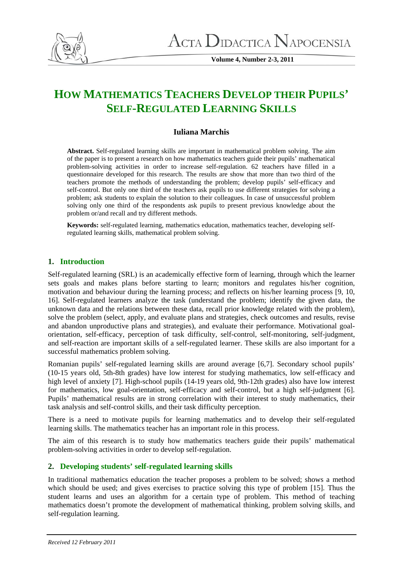

**Volume 4, Number 2-3, 2011** 

# **HOW MATHEMATICS TEACHERS DEVELOP THEIR PUPILS' SELF-REGULATED LEARNING SKILLS**

#### **Iuliana Marchis**

**Abstract.** Self-regulated learning skills are important in mathematical problem solving. The aim of the paper is to present a research on how mathematics teachers guide their pupils' mathematical problem-solving activities in order to increase self-regulation. 62 teachers have filled in a questionnaire developed for this research. The results are show that more than two third of the teachers promote the methods of understanding the problem; develop pupils' self-efficacy and self-control. But only one third of the teachers ask pupils to use different strategies for solving a problem; ask students to explain the solution to their colleagues. In case of unsuccessful problem solving only one third of the respondents ask pupils to present previous knowledge about the problem or/and recall and try different methods.

**Keywords:** self-regulated learning, mathematics education, mathematics teacher, developing selfregulated learning skills, mathematical problem solving.

## **1. Introduction**

Self-regulated learning (SRL) is an academically effective form of learning, through which the learner sets goals and makes plans before starting to learn; monitors and regulates his/her cognition, motivation and behaviour during the learning process; and reflects on his/her learning process [9, 10, 16]. Self-regulated learners analyze the task (understand the problem; identify the given data, the unknown data and the relations between these data, recall prior knowledge related with the problem), solve the problem (select, apply, and evaluate plans and strategies, check outcomes and results, revise and abandon unproductive plans and strategies), and evaluate their performance. Motivational goalorientation, self-efficacy, perception of task difficulty, self-control, self-monitoring, self-judgment, and self-reaction are important skills of a self-regulated learner. These skills are also important for a successful mathematics problem solving.

Romanian pupils' self-regulated learning skills are around average [6,7]. Secondary school pupils' (10-15 years old, 5th-8th grades) have low interest for studying mathematics, low self-efficacy and high level of anxiety [7]. High-school pupils (14-19 years old, 9th-12th grades) also have low interest for mathematics, low goal-orientation, self-efficacy and self-control, but a high self-judgment [6]. Pupils' mathematical results are in strong correlation with their interest to study mathematics, their task analysis and self-control skills, and their task difficulty perception.

There is a need to motivate pupils for learning mathematics and to develop their self-regulated learning skills. The mathematics teacher has an important role in this process.

The aim of this research is to study how mathematics teachers guide their pupils' mathematical problem-solving activities in order to develop self-regulation.

## **2. Developing students' self-regulated learning skills**

In traditional mathematics education the teacher proposes a problem to be solved; shows a method which should be used; and gives exercises to practice solving this type of problem [15]. Thus the student learns and uses an algorithm for a certain type of problem. This method of teaching mathematics doesn't promote the development of mathematical thinking, problem solving skills, and self-regulation learning.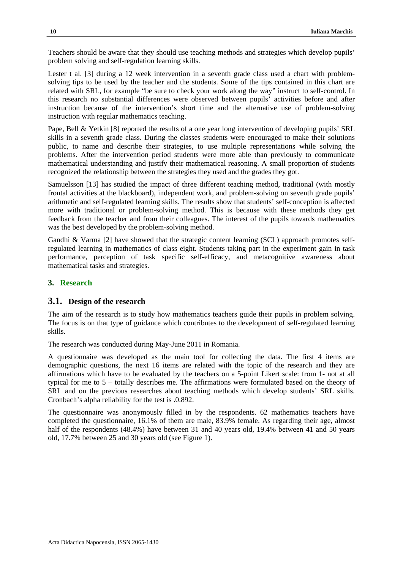Teachers should be aware that they should use teaching methods and strategies which develop pupils' problem solving and self-regulation learning skills.

Lester t al. [3] during a 12 week intervention in a seventh grade class used a chart with problemsolving tips to be used by the teacher and the students. Some of the tips contained in this chart are related with SRL, for example "be sure to check your work along the way" instruct to self-control. In this research no substantial differences were observed between pupils' activities before and after instruction because of the intervention's short time and the alternative use of problem-solving instruction with regular mathematics teaching.

Pape, Bell & Yetkin [8] reported the results of a one year long intervention of developing pupils' SRL skills in a seventh grade class. During the classes students were encouraged to make their solutions public, to name and describe their strategies, to use multiple representations while solving the problems. After the intervention period students were more able than previously to communicate mathematical understanding and justify their mathematical reasoning. A small proportion of students recognized the relationship between the strategies they used and the grades they got.

Samuelsson [13] has studied the impact of three different teaching method, traditional (with mostly frontal activities at the blackboard), independent work, and problem-solving on seventh grade pupils' arithmetic and self-regulated learning skills. The results show that students' self-conception is affected more with traditional or problem-solving method. This is because with these methods they get feedback from the teacher and from their colleagues. The interest of the pupils towards mathematics was the best developed by the problem-solving method.

Gandhi & Varma [2] have showed that the strategic content learning (SCL) approach promotes selfregulated learning in mathematics of class eight. Students taking part in the experiment gain in task performance, perception of task specific self-efficacy, and metacognitive awareness about mathematical tasks and strategies.

## **3. Research**

## **3.1. Design of the research**

The aim of the research is to study how mathematics teachers guide their pupils in problem solving. The focus is on that type of guidance which contributes to the development of self-regulated learning skills.

The research was conducted during May-June 2011 in Romania.

A questionnaire was developed as the main tool for collecting the data. The first 4 items are demographic questions, the next 16 items are related with the topic of the research and they are affirmations which have to be evaluated by the teachers on a 5-point Likert scale: from 1- not at all typical for me to 5 – totally describes me. The affirmations were formulated based on the theory of SRL and on the previous researches about teaching methods which develop students' SRL skills. Cronbach's alpha reliability for the test is .0.892.

The questionnaire was anonymously filled in by the respondents. 62 mathematics teachers have completed the questionnaire, 16.1% of them are male, 83.9% female. As regarding their age, almost half of the respondents (48.4%) have between 31 and 40 years old, 19.4% between 41 and 50 years old, 17.7% between 25 and 30 years old (see Figure 1).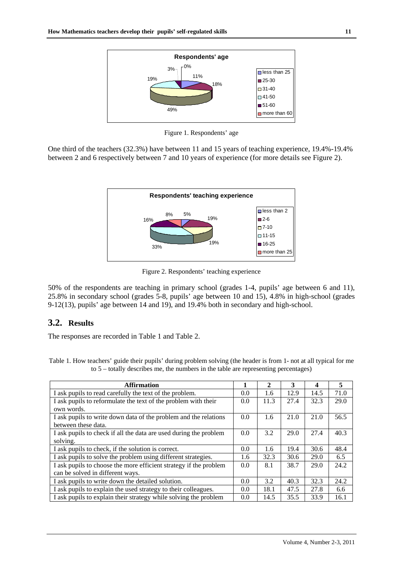

Figure 1. Respondents' age

One third of the teachers (32.3%) have between 11 and 15 years of teaching experience, 19.4%-19.4% between 2 and 6 respectively between 7 and 10 years of experience (for more details see Figure 2).



Figure 2. Respondents' teaching experience

50% of the respondents are teaching in primary school (grades 1-4, pupils' age between 6 and 11), 25.8% in secondary school (grades 5-8, pupils' age between 10 and 15), 4.8% in high-school (grades 9-12(13), pupils' age between 14 and 19), and 19.4% both in secondary and high-school.

#### **3.2. Results**

The responses are recorded in Table 1 and Table 2.

Table 1. How teachers' guide their pupils' during problem solving (the header is from 1- not at all typical for me to 5 – totally describes me, the numbers in the table are representing percentages)

| <b>Affirmation</b>                                                | 1   | 2    | 3    | 4    | 5    |
|-------------------------------------------------------------------|-----|------|------|------|------|
| I ask pupils to read carefully the text of the problem.           | 0.0 | 1.6  | 12.9 | 14.5 | 71.0 |
| I ask pupils to reformulate the text of the problem with their    | 0.0 | 11.3 | 27.4 | 32.3 | 29.0 |
| own words.                                                        |     |      |      |      |      |
| I ask pupils to write down data of the problem and the relations  | 0.0 | 1.6  | 21.0 | 21.0 | 56.5 |
| between these data.                                               |     |      |      |      |      |
| I ask pupils to check if all the data are used during the problem | 0.0 | 3.2  | 29.0 | 27.4 | 40.3 |
| solving.                                                          |     |      |      |      |      |
| I ask pupils to check, if the solution is correct.                | 0.0 | 1.6  | 19.4 | 30.6 | 48.4 |
| I ask pupils to solve the problem using different strategies.     | 1.6 | 32.3 | 30.6 | 29.0 | 6.5  |
| I ask pupils to choose the more efficient strategy if the problem | 0.0 | 8.1  | 38.7 | 29.0 | 24.2 |
| can be solved in different ways.                                  |     |      |      |      |      |
| I ask pupils to write down the detailed solution.                 | 0.0 | 3.2  | 40.3 | 32.3 | 24.2 |
| I ask pupils to explain the used strategy to their colleagues.    | 0.0 | 18.1 | 47.5 | 27.8 | 6.6  |
| I ask pupils to explain their strategy while solving the problem  | 0.0 | 14.5 | 35.5 | 33.9 | 16.1 |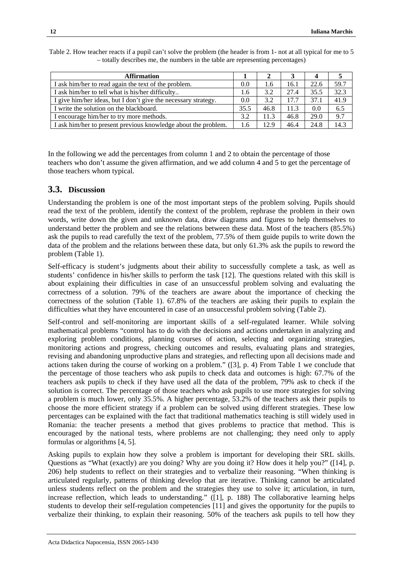| <b>Affirmation</b>                                             |      |      |      |      |      |
|----------------------------------------------------------------|------|------|------|------|------|
| I ask him/her to read again the text of the problem.           | 0.0  | 1.6  | 16.1 | 22.6 | 59.7 |
| I ask him/her to tell what is his/her difficulty               | 1.6  | 3.2  | 27.4 | 35.5 | 32.3 |
| I give him/her ideas, but I don't give the necessary strategy. | 0.0  | 3.2  | 17.7 | 37.1 | 41.9 |
| I write the solution on the blackboard.                        | 35.5 | 46.8 | 11.3 | 0.0  | 6.5  |
| I encourage him/her to try more methods.                       | 3.2  | 11.3 | 46.8 | 29.0 | 9.7  |
| I ask him/her to present previous knowledge about the problem. | 1.6  | 12.9 | 46.4 | 24.8 | 14.3 |

Table 2. How teacher reacts if a pupil can't solve the problem (the header is from 1- not at all typical for me to 5 – totally describes me, the numbers in the table are representing percentages)

In the following we add the percentages from column 1 and 2 to obtain the percentage of those teachers who don't assume the given affirmation, and we add column 4 and 5 to get the percentage of those teachers whom typical.

#### **3.3. Discussion**

Understanding the problem is one of the most important steps of the problem solving. Pupils should read the text of the problem, identify the context of the problem, rephrase the problem in their own words, write down the given and unknown data, draw diagrams and figures to help themselves to understand better the problem and see the relations between these data. Most of the teachers (85.5%) ask the pupils to read carefully the text of the problem, 77.5% of them guide pupils to write down the data of the problem and the relations between these data, but only 61.3% ask the pupils to reword the problem (Table 1).

Self-efficacy is student's judgments about their ability to successfully complete a task, as well as students' confidence in his/her skills to perform the task [12]. The questions related with this skill is about explaining their difficulties in case of an unsuccessful problem solving and evaluating the correctness of a solution. 79% of the teachers are aware about the importance of checking the correctness of the solution (Table 1). 67.8% of the teachers are asking their pupils to explain the difficulties what they have encountered in case of an unsuccessful problem solving (Table 2).

Self-control and self-monitoring are important skills of a self-regulated learner. While solving mathematical problems "control has to do with the decisions and actions undertaken in analyzing and exploring problem conditions, planning courses of action, selecting and organizing strategies, monitoring actions and progress, checking outcomes and results, evaluating plans and strategies, revising and abandoning unproductive plans and strategies, and reflecting upon all decisions made and actions taken during the course of working on a problem." ([3], p. 4) From Table 1 we conclude that the percentage of those teachers who ask pupils to check data and outcomes is high: 67.7% of the teachers ask pupils to check if they have used all the data of the problem, 79% ask to check if the solution is correct. The percentage of those teachers who ask pupils to use more strategies for solving a problem is much lower, only 35.5%. A higher percentage, 53.2% of the teachers ask their pupils to choose the more efficient strategy if a problem can be solved using different strategies. These low percentages can be explained with the fact that traditional mathematics teaching is still widely used in Romania: the teacher presents a method that gives problems to practice that method. This is encouraged by the national tests, where problems are not challenging; they need only to apply formulas or algorithms [4, 5].

Asking pupils to explain how they solve a problem is important for developing their SRL skills. Questions as "What (exactly) are you doing? Why are you doing it? How does it help you?" ([14], p. 206) help students to reflect on their strategies and to verbalize their reasoning. "When thinking is articulated regularly, patterns of thinking develop that are iterative. Thinking cannot be articulated unless students reflect on the problem and the strategies they use to solve it; articulation, in turn, increase reflection, which leads to understanding." ([1], p. 188) The collaborative learning helps students to develop their self-regulation competencies [11] and gives the opportunity for the pupils to verbalize their thinking, to explain their reasoning. 50% of the teachers ask pupils to tell how they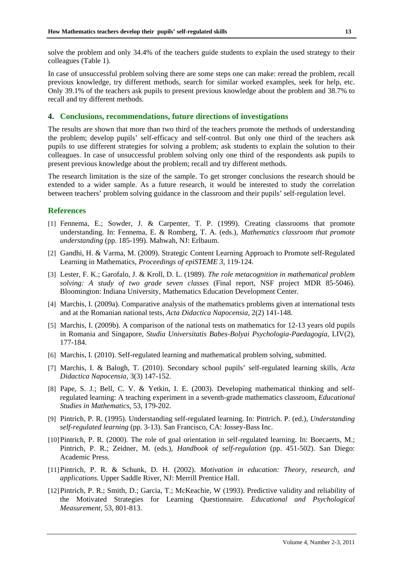solve the problem and only 34.4% of the teachers guide students to explain the used strategy to their colleagues (Table 1).

In case of unsuccessful problem solving there are some steps one can make: reread the problem, recall previous knowledge, try different methods, search for similar worked examples, seek for help, etc. Only 39.1% of the teachers ask pupils to present previous knowledge about the problem and 38.7% to recall and try different methods.

#### **4. Conclusions, recommendations, future directions of investigations**

The results are shown that more than two third of the teachers promote the methods of understanding the problem; develop pupils' self-efficacy and self-control. But only one third of the teachers ask pupils to use different strategies for solving a problem; ask students to explain the solution to their colleagues. In case of unsuccessful problem solving only one third of the respondents ask pupils to present previous knowledge about the problem; recall and try different methods.

The research limitation is the size of the sample. To get stronger conclusions the research should be extended to a wider sample. As a future research, it would be interested to study the correlation between teachers' problem solving guidance in the classroom and their pupils' self-regulation level.

#### **References**

- [1] Fennema, E.; Sowder, J. & Carpenter, T. P. (1999). Creating classrooms that promote understanding. In: Fennema, E. & Romberg, T. A. (eds.), *Mathematics classroom that promote understanding* (pp. 185-199). Mahwah, NJ: Erlbaum.
- [2] Gandhi, H. & Varma, M. (2009). Strategic Content Learning Approach to Promote self-Regulated Learning in Mathematics, *Proceedings of epiSTEME 3,* 119-124.
- [3] Lester, F. K.; Garofalo, J. & Kroll, D. L. (1989). *The role metacognition in mathematical problem solving: A study of two grade seven classes* (Final report, NSF project MDR 85-5046). Bloomington: Indiana University, Mathematics Education Development Center.
- [4] Marchis, I. (2009a). Comparative analysis of the mathematics problems given at international tests and at the Romanian national tests, *Acta Didactica Napocensia,* 2(2) 141-148.
- [5] Marchis, I. (2009b). A comparison of the national tests on mathematics for 12-13 years old pupils in Romania and Singapore, *Studia Universitatis Babes-Bolyai Psychologia-Paedagogia*, LIV(2), 177-184.
- [6] Marchis, I. (2010). Self-regulated learning and mathematical problem solving, submitted.
- [7] Marchis, I. & Balogh, T. (2010). Secondary school pupils' self-regulated learning skills, *Acta Didactica Napocensia,* 3(3) 147-152.
- [8] Pape, S. J.; Bell, C. V. & Yetkin, I. E. (2003). Developing mathematical thinking and selfregulated learning: A teaching experiment in a seventh-grade mathematics classroom, *Educational Studies in Mathematics*, 53, 179-202.
- [9] Pintrich, P. R. (1995). Understanding self-regulated learning. In: Pintrich. P. (ed.), *Understanding self-regulated learning* (pp. 3-13). San Francisco, CA: Jossey-Bass Inc.
- [10] Pintrich, P. R. (2000). The role of goal orientation in self-regulated learning. In: Boecaerts, M.; Pintrich, P. R.; Zeidner, M. (eds.), *Handbook of self-regulation* (pp. 451-502). San Diego: Academic Press.
- [11]Pintrich, P. R. & Schunk, D. H. (2002). *Motivation in education: Theory, research, and applications.* Upper Saddle River, NJ: Merrill Prentice Hall.
- [12]Pintrich, P. R.; Smith, D.; Garcia, T.; McKeachie, W (1993). Predictive validity and reliability of the Motivated Strategies for Learning Questionnaire. *Educational and Psychological Measurement,* 53, 801-813.